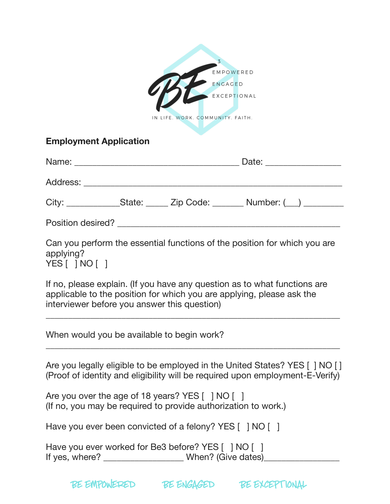|                               | ENGAGED<br>IN LIFE, WORK, COMMUNITY, FAITH,              |                                                                                                                                                               |
|-------------------------------|----------------------------------------------------------|---------------------------------------------------------------------------------------------------------------------------------------------------------------|
| <b>Employment Application</b> |                                                          |                                                                                                                                                               |
|                               |                                                          |                                                                                                                                                               |
|                               |                                                          |                                                                                                                                                               |
|                               |                                                          | City: ________________State: _______ Zip Code: _________ Number: (__) __________                                                                              |
|                               |                                                          |                                                                                                                                                               |
| applying?<br>YES [   NO [     |                                                          | Can you perform the essential functions of the position for which you are                                                                                     |
|                               | interviewer before you answer this question)             | If no, please explain. (If you have any question as to what functions are<br>applicable to the position for which you are applying, please ask the            |
|                               | When would you be available to begin work?               |                                                                                                                                                               |
|                               |                                                          | Are you legally eligible to be employed in the United States? YES [ ] NO [ ]<br>(Proof of identity and eligibility will be required upon employment-E-Verify) |
|                               | Are you over the age of 18 years? YES [ ] NO [ ]         | (If no, you may be required to provide authorization to work.)                                                                                                |
|                               | Have you ever been convicted of a felony? YES [ ] NO [ ] |                                                                                                                                                               |
|                               | Have you ever worked for Be3 before? YES [ ] NO [ ]      |                                                                                                                                                               |
|                               |                                                          |                                                                                                                                                               |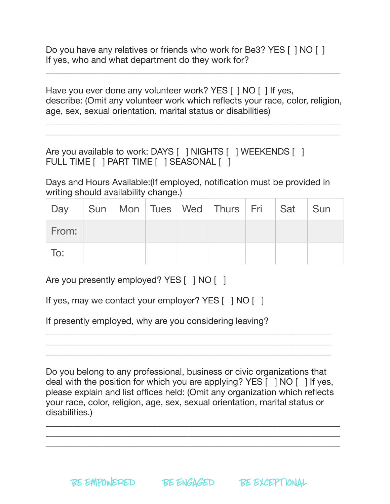Do you have any relatives or friends who work for Be3? YES [ ] NO [ ] If yes, who and what department do they work for?

Have you ever done any volunteer work? YES [ ] NO [ ] If yes, describe: (Omit any volunteer work which reflects your race, color, religion, age, sex, sexual orientation, marital status or disabilities)

 $\_$  , and the set of the set of the set of the set of the set of the set of the set of the set of the set of the set of the set of the set of the set of the set of the set of the set of the set of the set of the set of th \_\_\_\_\_\_\_\_\_\_\_\_\_\_\_\_\_\_\_\_\_\_\_\_\_\_\_\_\_\_\_\_\_\_\_\_\_\_\_\_\_\_\_\_\_\_\_\_\_\_\_\_\_\_\_\_\_\_\_\_\_\_\_\_\_\_

\_\_\_\_\_\_\_\_\_\_\_\_\_\_\_\_\_\_\_\_\_\_\_\_\_\_\_\_\_\_\_\_\_\_\_\_\_\_\_\_\_\_\_\_\_\_\_\_\_\_\_\_\_\_\_\_\_\_\_\_\_\_\_\_\_\_

Are you available to work: DAYS [ ] NIGHTS [ ] WEEKENDS [ ] FULL TIME [ ] PART TIME [ ] SEASONAL [ ]

Days and Hours Available:(If employed, notification must be provided in writing should availability change.)

| Day Sun Mon Tues Wed Thurs Fri Sat Sun |  |  |  |  |
|----------------------------------------|--|--|--|--|
| From:                                  |  |  |  |  |
| To:                                    |  |  |  |  |

Are you presently employed? YES [ ] NO [ ]

If yes, may we contact your employer? YES [ ] NO [ ]

If presently employed, why are you considering leaving?

Do you belong to any professional, business or civic organizations that deal with the position for which you are applying? YES  $\lceil$  | NO  $\lceil$  | If yes, please explain and list offices held: (Omit any organization which reflects your race, color, religion, age, sex, sexual orientation, marital status or disabilities.)

\_\_\_\_\_\_\_\_\_\_\_\_\_\_\_\_\_\_\_\_\_\_\_\_\_\_\_\_\_\_\_\_\_\_\_\_\_\_\_\_\_\_\_\_\_\_\_\_\_\_\_\_\_\_\_\_\_\_\_\_\_\_\_\_\_\_ \_\_\_\_\_\_\_\_\_\_\_\_\_\_\_\_\_\_\_\_\_\_\_\_\_\_\_\_\_\_\_\_\_\_\_\_\_\_\_\_\_\_\_\_\_\_\_\_\_\_\_\_\_\_\_\_\_\_\_\_\_\_\_\_\_\_  $\overline{\phantom{a}}$  , and the contribution of the contribution of the contribution of the contribution of the contribution of the contribution of the contribution of the contribution of the contribution of the contribution of the

\_\_\_\_\_\_\_\_\_\_\_\_\_\_\_\_\_\_\_\_\_\_\_\_\_\_\_\_\_\_\_\_\_\_\_\_\_\_\_\_\_\_\_\_\_\_\_\_\_\_\_\_\_\_\_\_\_\_\_\_\_\_\_\_ \_\_\_\_\_\_\_\_\_\_\_\_\_\_\_\_\_\_\_\_\_\_\_\_\_\_\_\_\_\_\_\_\_\_\_\_\_\_\_\_\_\_\_\_\_\_\_\_\_\_\_\_\_\_\_\_\_\_\_\_\_\_\_\_ \_\_\_\_\_\_\_\_\_\_\_\_\_\_\_\_\_\_\_\_\_\_\_\_\_\_\_\_\_\_\_\_\_\_\_\_\_\_\_\_\_\_\_\_\_\_\_\_\_\_\_\_\_\_\_\_\_\_\_\_\_\_\_\_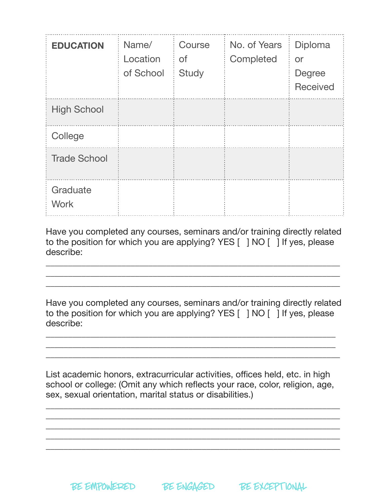| <b>EDUCATION</b>        | Name/<br>Location<br>of School | Course<br><b>of</b><br><b>Study</b> | No. of Years<br>Completed | Diploma<br>or<br>Degree<br><b>Received</b> |
|-------------------------|--------------------------------|-------------------------------------|---------------------------|--------------------------------------------|
| <b>High School</b>      |                                |                                     |                           |                                            |
| College                 |                                |                                     |                           |                                            |
| <b>Trade School</b>     |                                |                                     |                           |                                            |
| Graduate<br><b>Work</b> |                                |                                     |                           |                                            |

Have you completed any courses, seminars and/or training directly related to the position for which you are applying? YES [ ] NO [ ] If yes, please describe:

\_\_\_\_\_\_\_\_\_\_\_\_\_\_\_\_\_\_\_\_\_\_\_\_\_\_\_\_\_\_\_\_\_\_\_\_\_\_\_\_\_\_\_\_\_\_\_\_\_\_\_\_\_\_\_\_\_\_\_\_\_\_\_\_\_\_ \_\_\_\_\_\_\_\_\_\_\_\_\_\_\_\_\_\_\_\_\_\_\_\_\_\_\_\_\_\_\_\_\_\_\_\_\_\_\_\_\_\_\_\_\_\_\_\_\_\_\_\_\_\_\_\_\_\_\_\_\_\_\_\_\_\_  $\overline{\phantom{a}}$  , and the contribution of the contribution of the contribution of the contribution of the contribution of the contribution of the contribution of the contribution of the contribution of the contribution of the

Have you completed any courses, seminars and/or training directly related to the position for which you are applying? YES [ ] NO [ ] If yes, please describe:

\_\_\_\_\_\_\_\_\_\_\_\_\_\_\_\_\_\_\_\_\_\_\_\_\_\_\_\_\_\_\_\_\_\_\_\_\_\_\_\_\_\_\_\_\_\_\_\_\_\_\_\_\_\_\_\_\_\_\_\_\_\_\_\_\_ \_\_\_\_\_\_\_\_\_\_\_\_\_\_\_\_\_\_\_\_\_\_\_\_\_\_\_\_\_\_\_\_\_\_\_\_\_\_\_\_\_\_\_\_\_\_\_\_\_\_\_\_\_\_\_\_\_\_\_\_\_\_\_\_\_ \_\_\_\_\_\_\_\_\_\_\_\_\_\_\_\_\_\_\_\_\_\_\_\_\_\_\_\_\_\_\_\_\_\_\_\_\_\_\_\_\_\_\_\_\_\_\_\_\_\_\_\_\_\_\_\_\_\_\_\_\_\_\_\_\_\_

List academic honors, extracurricular activities, offices held, etc. in high school or college: (Omit any which reflects your race, color, religion, age, sex, sexual orientation, marital status or disabilities.)

 $\overline{\phantom{a}}$  , and the contribution of the contribution of the contribution of the contribution of the contribution of the contribution of the contribution of the contribution of the contribution of the contribution of the \_\_\_\_\_\_\_\_\_\_\_\_\_\_\_\_\_\_\_\_\_\_\_\_\_\_\_\_\_\_\_\_\_\_\_\_\_\_\_\_\_\_\_\_\_\_\_\_\_\_\_\_\_\_\_\_\_\_\_\_\_\_\_\_\_\_ \_\_\_\_\_\_\_\_\_\_\_\_\_\_\_\_\_\_\_\_\_\_\_\_\_\_\_\_\_\_\_\_\_\_\_\_\_\_\_\_\_\_\_\_\_\_\_\_\_\_\_\_\_\_\_\_\_\_\_\_\_\_\_\_\_\_  $\overline{\phantom{a}}$  , and the contribution of the contribution of the contribution of the contribution of the contribution of the contribution of the contribution of the contribution of the contribution of the contribution of the \_\_\_\_\_\_\_\_\_\_\_\_\_\_\_\_\_\_\_\_\_\_\_\_\_\_\_\_\_\_\_\_\_\_\_\_\_\_\_\_\_\_\_\_\_\_\_\_\_\_\_\_\_\_\_\_\_\_\_\_\_\_\_\_\_\_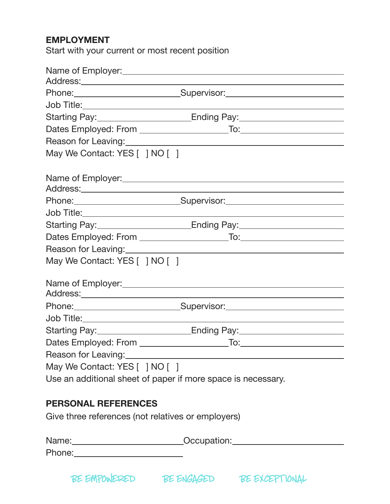## **EMPLOYMENT**

Start with your current or most recent position

|                                                    | Name of Employer:<br>Mame of Employer: Mame of Employer: Mame of Employer: Mame of Employer: Mame of Employer: Mame of Employer: Mame of Employer: Mame of Employer: Mame of Employer: Mame of Employer: Mame of Employer: Mame |
|----------------------------------------------------|---------------------------------------------------------------------------------------------------------------------------------------------------------------------------------------------------------------------------------|
|                                                    |                                                                                                                                                                                                                                 |
|                                                    | Phone: Supervisor: Supervisor:                                                                                                                                                                                                  |
| Job Title:__________________________________       |                                                                                                                                                                                                                                 |
|                                                    | Starting Pay: Ending Pay: Ending Pay:                                                                                                                                                                                           |
|                                                    |                                                                                                                                                                                                                                 |
|                                                    | Reason for Leaving: 1990 and 200 million and 200 million and 200 million and 200 million and 200 million and 20                                                                                                                 |
| May We Contact: YES [ ] NO [ ]                     |                                                                                                                                                                                                                                 |
|                                                    |                                                                                                                                                                                                                                 |
|                                                    |                                                                                                                                                                                                                                 |
|                                                    | Phone: _________________________________Supervisor: ____________________________                                                                                                                                                |
|                                                    |                                                                                                                                                                                                                                 |
|                                                    | Starting Pay: Ending Pay: Ending Pay:                                                                                                                                                                                           |
|                                                    |                                                                                                                                                                                                                                 |
|                                                    |                                                                                                                                                                                                                                 |
| May We Contact: YES [ ] NO [ ]                     |                                                                                                                                                                                                                                 |
|                                                    | Name of Employer:<br>Mame of Employer: Mame of Employer: Mame of Employer: Mame of Employer: Mame of Employer: Mame of Employer: Mame of Employer: Mame of Employer: Mame of Employer: Mame of Employer: Mame of Employer: Mame |
|                                                    |                                                                                                                                                                                                                                 |
|                                                    | Phone: Supervisor: Supervisor:                                                                                                                                                                                                  |
| Job Title:__________________________________       |                                                                                                                                                                                                                                 |
|                                                    | Starting Pay: Ending Pay: Ending Pay:                                                                                                                                                                                           |
|                                                    |                                                                                                                                                                                                                                 |
|                                                    |                                                                                                                                                                                                                                 |
| May We Contact: YES [ ] NO [ ]                     |                                                                                                                                                                                                                                 |
|                                                    | Use an additional sheet of paper if more space is necessary.                                                                                                                                                                    |
| <b>PERSONAL REFERENCES</b>                         |                                                                                                                                                                                                                                 |
|                                                    |                                                                                                                                                                                                                                 |
| Give three references (not relatives or employers) |                                                                                                                                                                                                                                 |
|                                                    | Name: Name: Name: Name: Name: Name: Name: Name: Name: Name: Name: Name: Name: Name: Name: Name: Name: Name: Na                                                                                                                  |
|                                                    |                                                                                                                                                                                                                                 |
|                                                    |                                                                                                                                                                                                                                 |
|                                                    | BE EMPOWERED BE ENGAGED BE EXCEPTIONAL                                                                                                                                                                                          |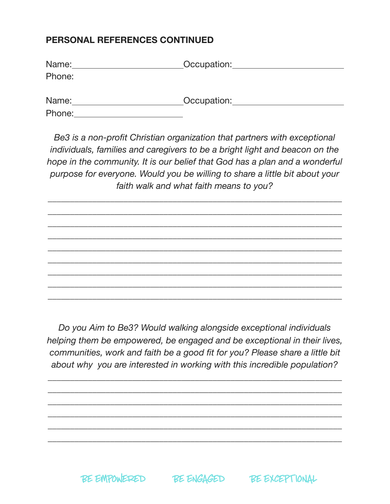## **PERSONAL REFERENCES CONTINUED**

| Name:  | _Occupation: |
|--------|--------------|
| Phone: |              |
|        |              |
| Name:  | Occupation:  |
| Phone: |              |

*Be3 is a non-profit Christian organization that partners with exceptional individuals, families and caregivers to be a bright light and beacon on the hope in the community. It is our belief that God has a plan and a wonderful purpose for everyone. Would you be willing to share a little bit about your faith walk and what faith means to you?* 

*\_\_\_\_\_\_\_\_\_\_\_\_\_\_\_\_\_\_\_\_\_\_\_\_\_\_\_\_\_\_\_\_\_\_\_\_\_\_\_\_\_\_\_\_\_\_\_\_\_\_\_\_\_\_\_\_\_\_\_\_\_\_\_\_\_\_*

*\_\_\_\_\_\_\_\_\_\_\_\_\_\_\_\_\_\_\_\_\_\_\_\_\_\_\_\_\_\_\_\_\_\_\_\_\_\_\_\_\_\_\_\_\_\_\_\_\_\_\_\_\_\_\_\_\_\_\_\_\_\_\_\_\_\_ \_\_\_\_\_\_\_\_\_\_\_\_\_\_\_\_\_\_\_\_\_\_\_\_\_\_\_\_\_\_\_\_\_\_\_\_\_\_\_\_\_\_\_\_\_\_\_\_\_\_\_\_\_\_\_\_\_\_\_\_\_\_\_\_\_\_ \_\_\_\_\_\_\_\_\_\_\_\_\_\_\_\_\_\_\_\_\_\_\_\_\_\_\_\_\_\_\_\_\_\_\_\_\_\_\_\_\_\_\_\_\_\_\_\_\_\_\_\_\_\_\_\_\_\_\_\_\_\_\_\_\_\_ \_\_\_\_\_\_\_\_\_\_\_\_\_\_\_\_\_\_\_\_\_\_\_\_\_\_\_\_\_\_\_\_\_\_\_\_\_\_\_\_\_\_\_\_\_\_\_\_\_\_\_\_\_\_\_\_\_\_\_\_\_\_\_\_\_\_ \_\_\_\_\_\_\_\_\_\_\_\_\_\_\_\_\_\_\_\_\_\_\_\_\_\_\_\_\_\_\_\_\_\_\_\_\_\_\_\_\_\_\_\_\_\_\_\_\_\_\_\_\_\_\_\_\_\_\_\_\_\_\_\_\_\_ \_\_\_\_\_\_\_\_\_\_\_\_\_\_\_\_\_\_\_\_\_\_\_\_\_\_\_\_\_\_\_\_\_\_\_\_\_\_\_\_\_\_\_\_\_\_\_\_\_\_\_\_\_\_\_\_\_\_\_\_\_\_\_\_\_\_ \_\_\_\_\_\_\_\_\_\_\_\_\_\_\_\_\_\_\_\_\_\_\_\_\_\_\_\_\_\_\_\_\_\_\_\_\_\_\_\_\_\_\_\_\_\_\_\_\_\_\_\_\_\_\_\_\_\_\_\_\_\_\_\_\_\_ \_\_\_\_\_\_\_\_\_\_\_\_\_\_\_\_\_\_\_\_\_\_\_\_\_\_\_\_\_\_\_\_\_\_\_\_\_\_\_\_\_\_\_\_\_\_\_\_\_\_\_\_\_\_\_\_\_\_\_\_\_\_\_\_\_\_* 

*Do you Aim to Be3? Would walking alongside exceptional individuals helping them be empowered, be engaged and be exceptional in their lives, communities, work and faith be a good fit for you? Please share a little bit about why you are interested in working with this incredible population?* 

*\_\_\_\_\_\_\_\_\_\_\_\_\_\_\_\_\_\_\_\_\_\_\_\_\_\_\_\_\_\_\_\_\_\_\_\_\_\_\_\_\_\_\_\_\_\_\_\_\_\_\_\_\_\_\_\_\_\_\_\_\_\_\_\_\_\_ \_\_\_\_\_\_\_\_\_\_\_\_\_\_\_\_\_\_\_\_\_\_\_\_\_\_\_\_\_\_\_\_\_\_\_\_\_\_\_\_\_\_\_\_\_\_\_\_\_\_\_\_\_\_\_\_\_\_\_\_\_\_\_\_\_\_ \_\_\_\_\_\_\_\_\_\_\_\_\_\_\_\_\_\_\_\_\_\_\_\_\_\_\_\_\_\_\_\_\_\_\_\_\_\_\_\_\_\_\_\_\_\_\_\_\_\_\_\_\_\_\_\_\_\_\_\_\_\_\_\_\_\_ \_\_\_\_\_\_\_\_\_\_\_\_\_\_\_\_\_\_\_\_\_\_\_\_\_\_\_\_\_\_\_\_\_\_\_\_\_\_\_\_\_\_\_\_\_\_\_\_\_\_\_\_\_\_\_\_\_\_\_\_\_\_\_\_\_\_ \_\_\_\_\_\_\_\_\_\_\_\_\_\_\_\_\_\_\_\_\_\_\_\_\_\_\_\_\_\_\_\_\_\_\_\_\_\_\_\_\_\_\_\_\_\_\_\_\_\_\_\_\_\_\_\_\_\_\_\_\_\_\_\_\_\_*

*\_\_\_\_\_\_\_\_\_\_\_\_\_\_\_\_\_\_\_\_\_\_\_\_\_\_\_\_\_\_\_\_\_\_\_\_\_\_\_\_\_\_\_\_\_\_\_\_\_\_\_\_\_\_\_\_\_\_\_\_\_\_\_\_\_\_*